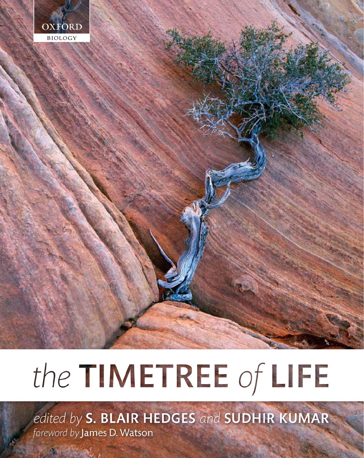

# the TIMETREE of LIFE

edited by S. BLAIR HEDGES and SUDHIR KUMAR foreword by James D. Watson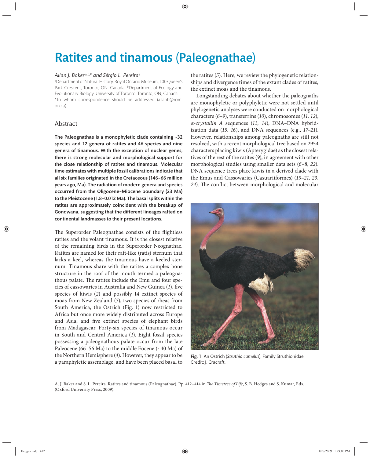# Ratites and tinamous (Paleognathae)

# *Allan J. Baker* a,b,*\* and Sérgio L. Pereira*<sup>a</sup>

a Department of Natural History, Royal Ontario Museum, 100 Queen's Park Crescent, Toronto, ON, Canada; bDepartment of Ecology and Evolutionary Biology, University of Toronto, Toronto, ON, Canada \*To whom correspondence should be addressed (allanb@rom. on.ca)

# Abstract

The Paleognathae is a monophyletic clade containing ~32 species and 12 genera of ratites and 46 species and nine genera of tinamous. With the exception of nuclear genes, there is strong molecular and morphological support for the close relationship of ratites and tinamous. Molecular time estimates with multiple fossil calibrations indicate that all six families originated in the Cretaceous (146–66 million years ago, Ma). The radiation of modern genera and species occurred from the Oligocene–Miocene boundary (23 Ma) to the Pleistocene (1.8–0.012 Ma). The basal splits within the ratites are approximately coincident with the breakup of Gondwana, suggesting that the different lineages rafted on continental landmasses to their present locations.

The Superorder Paleognathae consists of the flightless ratites and the volant tinamous. It is the closest relative of the remaining birds in the Superorder Neognathae. Ratites are named for their raft-like (ratis) sternum that lacks a keel, whereas the tinamous have a keeled sternum. Tinamous share with the ratites a complex bone structure in the roof of the mouth termed a paleognathous palate. The ratites include the Emu and four species of cassowaries in Australia and New Guinea (1), five species of kiwis (*2*) and possibly 14 extinct species of moas from New Zealand (*3*), two species of rheas from South America, the Ostrich (Fig. 1) now restricted to Africa but once more widely distributed across Europe and Asia, and five extinct species of elephant birds from Madagascar. Forty-six species of tinamous occur in South and Central America (1). Eight fossil species possessing a paleognathous palate occur from the late Paleocene (66–56 Ma) to the middle Eocene (~40 Ma) of the Northern Hemisphere (*4*). However, they appear to be a paraphyletic assemblage, and have been placed basal to

the ratites (*5*). Here, we review the phylogenetic relationships and divergence times of the extant clades of ratites, the extinct moas and the tinamous.

Longstanding debates about whether the paleognaths are monophyletic or polyphyletic were not settled until phylogenetic analyses were conducted on morphological characters (*6–9*), transferrins (*10*), chromosomes (*11, 12*), *α-crystallin A* sequences (*13, 14*), DNA–DNA hybridization data  $(15, 16)$ , and DNA sequences (e.g.,  $17-21$ ). However, relationships among paleognaths are still not resolved, with a recent morphological tree based on 2954 characters placing kiwis (Apterygidae) as the closest relatives of the rest of the ratites (*9*), in agreement with other morphological studies using smaller data sets (*6–8, 22*). DNA sequence trees place kiwis in a derived clade with the Emus and Cassowaries (Casuariiformes) (*19–21, 23,*  24). The conflict between morphological and molecular



Fig. 1 An Ostrich (*Struthio camelus*), Family Struthionidae. Credit: J. Cracraft.

A. J. Baker and S. L. Pereira. Ratites and tinamous (Paleognathae). Pp. 412-414 in *The Timetree of Life*, S. B. Hedges and S. Kumar, Eds. (Oxford University Press, 2009).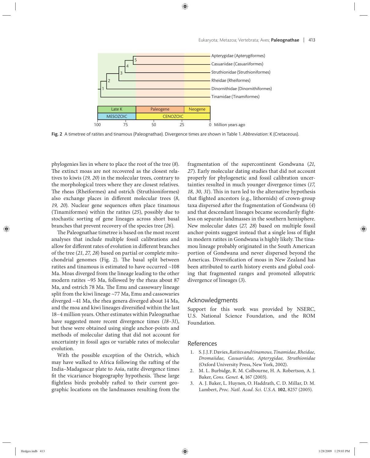

Fig. 2 A timetree of ratites and tinamous (Paleognathae). Divergence times are shown in Table 1. *Abbreviation*: K (Cretaceous).

phylogenies lies in where to place the root of the tree (*8*). The extinct moas are not recovered as the closest relatives to kiwis (*19, 20*) in the molecular trees, contrary to the morphological trees where they are closest relatives. The rheas (Rheiformes) and ostrich (Struthioniformes) also exchange places in different molecular trees (8, 19, 20). Nuclear gene sequences often place tinamous (Tinamiformes) within the ratites (*25*), possibly due to stochastic sorting of gene lineages across short basal branches that prevent recovery of the species tree (*26*).

The Paleognathae timetree is based on the most recent analyses that include multiple fossil calibrations and allow for different rates of evolution in different branches of the tree (*21*, *27, 28*) based on partial or complete mitochondrial genomes (Fig. 2). The basal split between ratites and tinamous is estimated to have occurred ~108 Ma. Moas diverged from the lineage leading to the other modern ratites ~95 Ma, followed by the rheas about 87 Ma, and ostrich 78 Ma. The Emu and cassowary lineage split from the kiwi lineage ~77 Ma, Emu and cassowaries diverged ~41 Ma, the rhea genera diverged about 14 Ma, and the moa and kiwi lineages diversified within the last 18–4 million years. Other estimates within Paleognathae have suggested more recent divergence times (18–31), but these were obtained using single anchor-points and methods of molecular dating that did not account for uncertainty in fossil ages or variable rates of molecular evolution.

With the possible exception of the Ostrich, which may have walked to Africa following the rafting of the India–Madagascar plate to Asia, ratite divergence times fit the vicariance biogeography hypothesis. These large flightless birds probably rafted to their current geographic locations on the landmasses resulting from the fragmentation of the supercontinent Gondwana (21, *27*). Early molecular dating studies that did not account properly for phylogenetic and fossil calibration uncertainties resulted in much younger divergence times (*17,*  18, 30, 31). This in turn led to the alternative hypothesis that flighted ancestors (e.g., lithornids) of crown-group taxa dispersed after the fragmentation of Gondwana (4) and that descendant lineages became secondarily flightless on separate landmasses in the southern hemisphere. New molecular dates (*27, 28*) based on multiple fossil anchor-points suggest instead that a single loss of flight in modern ratites in Gondwana is highly likely. The tinamou lineage probably originated in the South American portion of Gondwana and never dispersed beyond the Americas. Diversification of moas in New Zealand has been attributed to earth history events and global cooling that fragmented ranges and promoted allopatric divergence of lineages (*3*).

## Acknowledgments

Support for this work was provided by NSERC, U.S. National Science Foundation, and the ROM Foundation.

### References

- 1. S. J. J. F. Davies, *Ratites and tinamous, Tinamidae, Rheidae, Dromaiidae, Casuariidae, Apterygidae, Struthionidae* (Oxford University Press, New York, 2002).
- 2. M. L. Burbidge, R. M. Colbourne, H. A. Robertson, A. J. Baker, *Cons. Genet.* **4**, 167 (2003).
- 3. A. J. Baker, L. Huynen, O. Haddrath, C. D. Millar, D. M. Lambert, *Proc. Natl. Acad. Sci. U.S.A.* **102**, 8257 (2005).